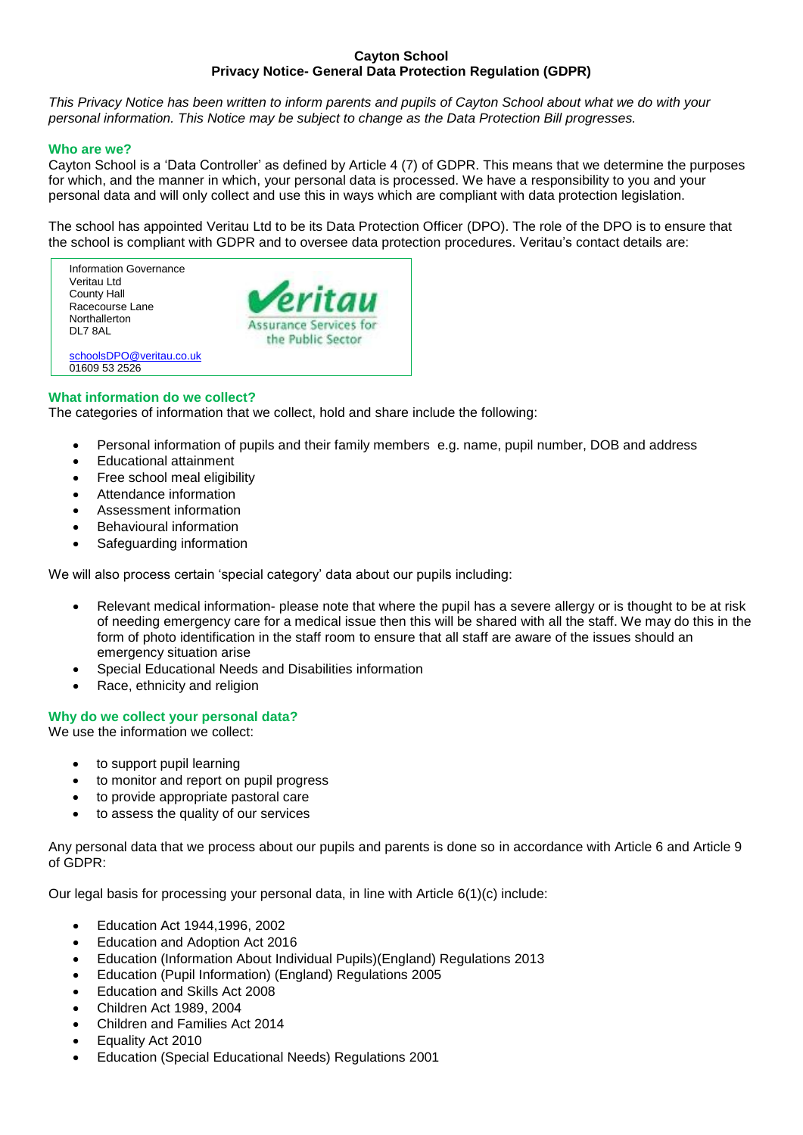### **Cayton School Privacy Notice- General Data Protection Regulation (GDPR)**

*This Privacy Notice has been written to inform parents and pupils of Cayton School about what we do with your personal information. This Notice may be subject to change as the Data Protection Bill progresses.*

### **Who are we?**

Cayton School is a 'Data Controller' as defined by Article 4 (7) of GDPR. This means that we determine the purposes for which, and the manner in which, your personal data is processed. We have a responsibility to you and your personal data and will only collect and use this in ways which are compliant with data protection legislation.

The school has appointed Veritau Ltd to be its Data Protection Officer (DPO). The role of the DPO is to ensure that the school is compliant with GDPR and to oversee data protection procedures. Veritau's contact details are:

Information Governance Veritau Ltd County Hall Racecourse Lane **Northallerton** DL7 8AL [schoolsDPO@veritau.co.uk](mailto:schoolsDPO@veritau.co.uk)



#### **What information do we collect?**

01609 53 2526

The categories of information that we collect, hold and share include the following:

- Personal information of pupils and their family members e.g. name, pupil number, DOB and address
- Educational attainment
- Free school meal eligibility
- Attendance information
- Assessment information
- Behavioural information
- Safeguarding information

We will also process certain 'special category' data about our pupils including:

- Relevant medical information- please note that where the pupil has a severe allergy or is thought to be at risk of needing emergency care for a medical issue then this will be shared with all the staff. We may do this in the form of photo identification in the staff room to ensure that all staff are aware of the issues should an emergency situation arise
- Special Educational Needs and Disabilities information
- Race, ethnicity and religion

## **Why do we collect your personal data?**

We use the information we collect:

- to support pupil learning
- to monitor and report on pupil progress
- to provide appropriate pastoral care
- to assess the quality of our services

Any personal data that we process about our pupils and parents is done so in accordance with Article 6 and Article 9 of GDPR:

Our legal basis for processing your personal data, in line with Article 6(1)(c) include:

- Education Act 1944,1996, 2002
- Education and Adoption Act 2016
- Education (Information About Individual Pupils)(England) Regulations 2013
- Education (Pupil Information) (England) Regulations 2005
- Education and Skills Act 2008
- Children Act 1989, 2004
- Children and Families Act 2014
- Equality Act 2010
- Education (Special Educational Needs) Regulations 2001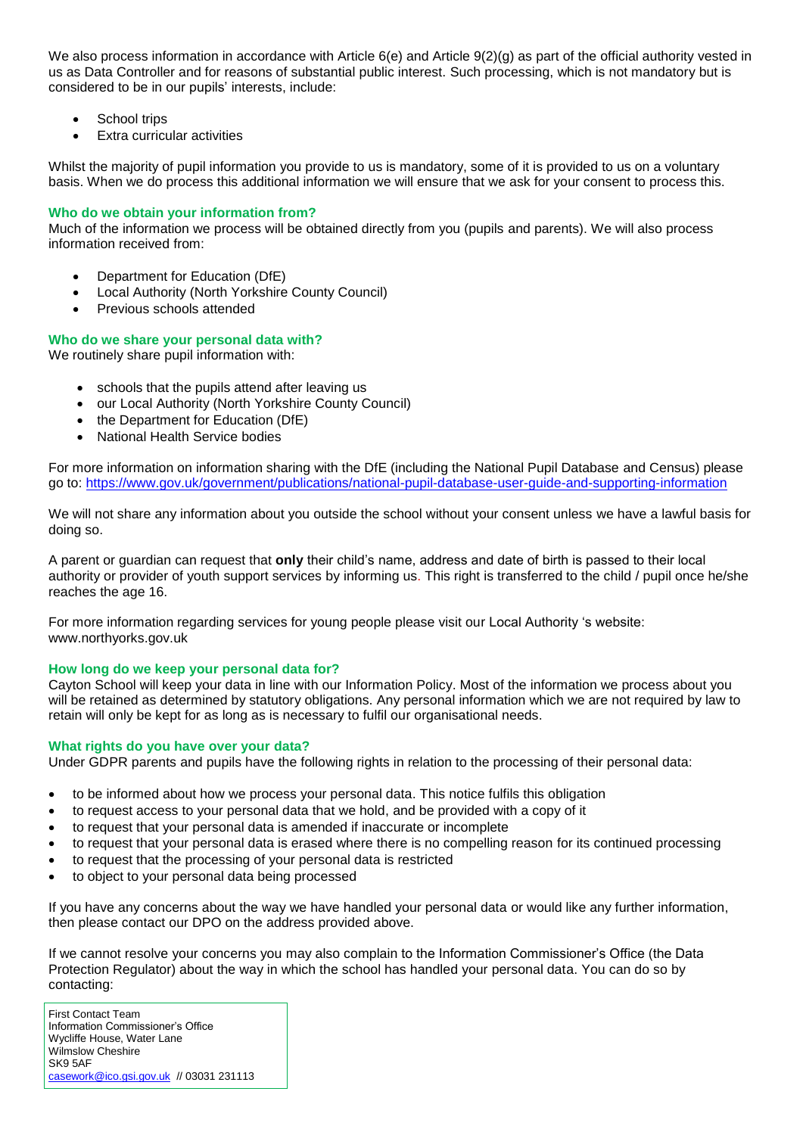We also process information in accordance with Article 6(e) and Article 9(2)(g) as part of the official authority vested in us as Data Controller and for reasons of substantial public interest. Such processing, which is not mandatory but is considered to be in our pupils' interests, include:

- School trips
- Extra curricular activities

Whilst the majority of pupil information you provide to us is mandatory, some of it is provided to us on a voluntary basis. When we do process this additional information we will ensure that we ask for your consent to process this.

# **Who do we obtain your information from?**

Much of the information we process will be obtained directly from you (pupils and parents). We will also process information received from:

- Department for Education (DfE)
- Local Authority (North Yorkshire County Council)
- Previous schools attended

# **Who do we share your personal data with?**

We routinely share pupil information with:

- schools that the pupils attend after leaving us
- our Local Authority (North Yorkshire County Council)
- the Department for Education (DfE)
- National Health Service bodies

For more information on information sharing with the DfE (including the National Pupil Database and Census) please go to:<https://www.gov.uk/government/publications/national-pupil-database-user-guide-and-supporting-information>

We will not share any information about you outside the school without your consent unless we have a lawful basis for doing so.

A parent or guardian can request that **only** their child's name, address and date of birth is passed to their local authority or provider of youth support services by informing us. This right is transferred to the child / pupil once he/she reaches the age 16.

For more information regarding services for young people please visit our Local Authority 's website: www.northyorks.gov.uk

## **How long do we keep your personal data for?**

Cayton School will keep your data in line with our Information Policy. Most of the information we process about you will be retained as determined by statutory obligations. Any personal information which we are not required by law to retain will only be kept for as long as is necessary to fulfil our organisational needs.

## **What rights do you have over your data?**

Under GDPR parents and pupils have the following rights in relation to the processing of their personal data:

- to be informed about how we process your personal data. This notice fulfils this obligation
- to request access to your personal data that we hold, and be provided with a copy of it
- to request that your personal data is amended if inaccurate or incomplete
- to request that your personal data is erased where there is no compelling reason for its continued processing
- to request that the processing of your personal data is restricted
- to object to your personal data being processed

If you have any concerns about the way we have handled your personal data or would like any further information, then please contact our DPO on the address provided above.

If we cannot resolve your concerns you may also complain to the Information Commissioner's Office (the Data Protection Regulator) about the way in which the school has handled your personal data. You can do so by contacting:

First Contact Team Information Commissioner's Office Wycliffe House, Water Lane Wilmslow Cheshire SK9 5AF [casework@ico.gsi.gov.uk](mailto:casework@ico.gsi.gov.uk) // 03031 231113